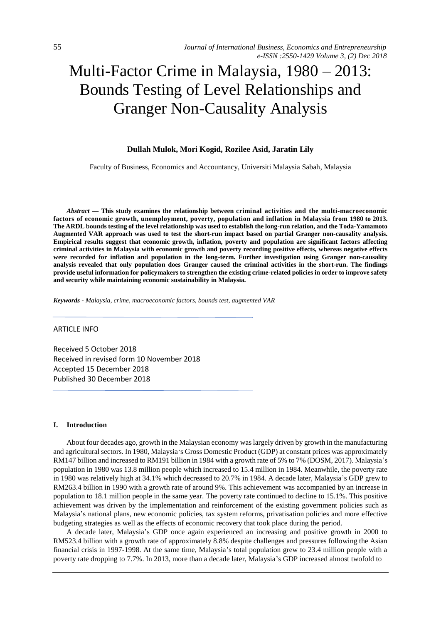# Multi-Factor Crime in Malaysia, 1980 – 2013: Bounds Testing of Level Relationships and Granger Non-Causality Analysis

# **Dullah Mulok, Mori Kogid, Rozilee Asid, Jaratin Lily**

Faculty of Business, Economics and Accountancy, Universiti Malaysia Sabah, Malaysia

*Abstract* **— This study examines the relationship between criminal activities and the multi-macroeconomic factors of economic growth, unemployment, poverty, population and inflation in Malaysia from 1980 to 2013. The ARDL bounds testing of the level relationship was used to establish the long-run relation, and the Toda-Yamamoto Augmented VAR approach was used to test the short-run impact based on partial Granger non-causality analysis. Empirical results suggest that economic growth, inflation, poverty and population are significant factors affecting criminal activities in Malaysia with economic growth and poverty recording positive effects, whereas negative effects were recorded for inflation and population in the long-term. Further investigation using Granger non-causality analysis revealed that only population does Granger caused the criminal activities in the short-run. The findings provide useful information for policymakers to strengthen the existing crime-related policies in order to improve safety and security while maintaining economic sustainability in Malaysia.**

*Keywords* **-** *Malaysia, crime, macroeconomic factors, bounds test, augmented VAR*

## ARTICLE INFO

Received 5 October 2018 Received in revised form 10 November 2018 Accepted 15 December 2018 Published 30 December 2018

## **I. Introduction**

About four decades ago, growth in the Malaysian economy was largely driven by growth in the manufacturing and agricultural sectors. In 1980, Malaysia's Gross Domestic Product (GDP) at constant prices was approximately RM147 billion and increased to RM191 billion in 1984 with a growth rate of 5% to 7% (DOSM, 2017). Malaysia's population in 1980 was 13.8 million people which increased to 15.4 million in 1984. Meanwhile, the poverty rate in 1980 was relatively high at 34.1% which decreased to 20.7% in 1984. A decade later, Malaysia's GDP grew to RM263.4 billion in 1990 with a growth rate of around 9%. This achievement was accompanied by an increase in population to 18.1 million people in the same year. The poverty rate continued to decline to 15.1%. This positive achievement was driven by the implementation and reinforcement of the existing government policies such as Malaysia's national plans, new economic policies, tax system reforms, privatisation policies and more effective budgeting strategies as well as the effects of economic recovery that took place during the period.

A decade later, Malaysia's GDP once again experienced an increasing and positive growth in 2000 to RM523.4 billion with a growth rate of approximately 8.8% despite challenges and pressures following the Asian financial crisis in 1997-1998. At the same time, Malaysia's total population grew to 23.4 million people with a poverty rate dropping to 7.7%. In 2013, more than a decade later, Malaysia's GDP increased almost twofold to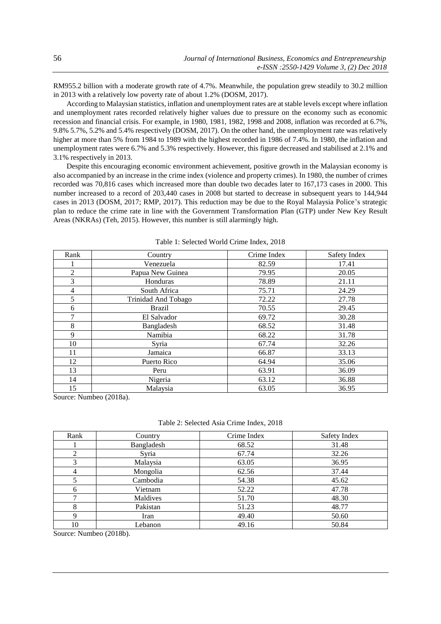RM955.2 billion with a moderate growth rate of 4.7%. Meanwhile, the population grew steadily to 30.2 million in 2013 with a relatively low poverty rate of about 1.2% (DOSM, 2017).

According to Malaysian statistics, inflation and unemployment rates are at stable levels except where inflation and unemployment rates recorded relatively higher values due to pressure on the economy such as economic recession and financial crisis. For example, in 1980, 1981, 1982, 1998 and 2008, inflation was recorded at 6.7%, 9.8% 5.7%, 5.2% and 5.4% respectively (DOSM, 2017). On the other hand, the unemployment rate was relatively higher at more than 5% from 1984 to 1989 with the highest recorded in 1986 of 7.4%. In 1980, the inflation and unemployment rates were 6.7% and 5.3% respectively. However, this figure decreased and stabilised at 2.1% and 3.1% respectively in 2013.

Despite this encouraging economic environment achievement, positive growth in the Malaysian economy is also accompanied by an increase in the crime index (violence and property crimes). In 1980, the number of crimes recorded was 70,816 cases which increased more than double two decades later to 167,173 cases in 2000. This number increased to a record of 203,440 cases in 2008 but started to decrease in subsequent years to 144,944 cases in 2013 (DOSM, 2017; RMP, 2017). This reduction may be due to the Royal Malaysia Police's strategic plan to reduce the crime rate in line with the Government Transformation Plan (GTP) under New Key Result Areas (NKRAs) (Teh, 2015). However, this number is still alarmingly high.

| Rank           | Country                    | Crime Index | Safety Index |
|----------------|----------------------------|-------------|--------------|
|                | Venezuela                  | 82.59       | 17.41        |
| $\overline{2}$ | Papua New Guinea           | 79.95       | 20.05        |
| 3              | Honduras                   | 78.89       | 21.11        |
| $\overline{4}$ | South Africa               | 75.71       | 24.29        |
| 5              | <b>Trinidad And Tobago</b> | 72.22       | 27.78        |
| 6              | <b>Brazil</b>              | 70.55       | 29.45        |
| 7              | El Salvador                | 69.72       | 30.28        |
| 8              | Bangladesh                 | 68.52       | 31.48        |
| 9              | Namibia                    | 68.22       | 31.78        |
| 10             | Syria                      | 67.74       | 32.26        |
| 11             | Jamaica                    | 66.87       | 33.13        |
| 12             | Puerto Rico                | 64.94       | 35.06        |
| 13             | Peru                       | 63.91       | 36.09        |
| 14             | Nigeria                    | 63.12       | 36.88        |
| 15             | Malaysia                   | 63.05       | 36.95        |

Table 1: Selected World Crime Index, 2018

Source: Numbeo (2018a).

Table 2: Selected Asia Crime Index, 2018

| Rank           | Country    | Crime Index | Safety Index |
|----------------|------------|-------------|--------------|
|                | Bangladesh | 68.52       | 31.48        |
| $\overline{2}$ | Syria      | 67.74       | 32.26        |
| 3              | Malaysia   | 63.05       | 36.95        |
| 4              | Mongolia   | 62.56       | 37.44        |
| 5              | Cambodia   | 54.38       | 45.62        |
| 6              | Vietnam    | 52.22       | 47.78        |
|                | Maldives   | 51.70       | 48.30        |
| 8              | Pakistan   | 51.23       | 48.77        |
| $\mathbf Q$    | Iran       | 49.40       | 50.60        |
| 10             | Lebanon    | 49.16       | 50.84        |

Source: Numbeo (2018b).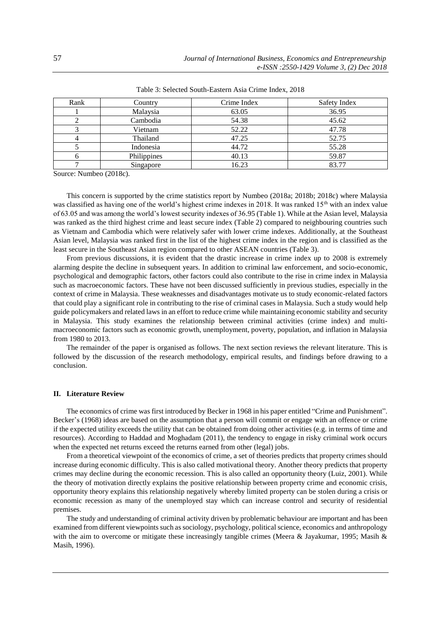| Rank | Country     | Crime Index | Safety Index |
|------|-------------|-------------|--------------|
|      | Malaysia    | 63.05       | 36.95        |
|      | Cambodia    | 54.38       | 45.62        |
|      | Vietnam     | 52.22       | 47.78        |
|      | Thailand    | 47.25       | 52.75        |
|      | Indonesia   | 44.72       | 55.28        |
|      | Philippines | 40.13       | 59.87        |
|      | Singapore   | 16.23       | 83.77        |

Table 3: Selected South-Eastern Asia Crime Index, 2018

Source: Numbeo (2018c).

This concern is supported by the crime statistics report by Numbeo (2018a; 2018b; 2018c) where Malaysia was classified as having one of the world's highest crime indexes in 2018. It was ranked  $15<sup>th</sup>$  with an index value of 63.05 and was among the world's lowest security indexes of 36.95 (Table 1). While at the Asian level, Malaysia was ranked as the third highest crime and least secure index (Table 2) compared to neighbouring countries such as Vietnam and Cambodia which were relatively safer with lower crime indexes. Additionally, at the Southeast Asian level, Malaysia was ranked first in the list of the highest crime index in the region and is classified as the least secure in the Southeast Asian region compared to other ASEAN countries (Table 3).

From previous discussions, it is evident that the drastic increase in crime index up to 2008 is extremely alarming despite the decline in subsequent years. In addition to criminal law enforcement, and socio-economic, psychological and demographic factors, other factors could also contribute to the rise in crime index in Malaysia such as macroeconomic factors. These have not been discussed sufficiently in previous studies, especially in the context of crime in Malaysia. These weaknesses and disadvantages motivate us to study economic-related factors that could play a significant role in contributing to the rise of criminal cases in Malaysia. Such a study would help guide policymakers and related laws in an effort to reduce crime while maintaining economic stability and security in Malaysia. This study examines the relationship between criminal activities (crime index) and multimacroeconomic factors such as economic growth, unemployment, poverty, population, and inflation in Malaysia from 1980 to 2013.

The remainder of the paper is organised as follows. The next section reviews the relevant literature. This is followed by the discussion of the research methodology, empirical results, and findings before drawing to a conclusion.

## **II. Literature Review**

The economics of crime was first introduced by Becker in 1968 in his paper entitled "Crime and Punishment". Becker's (1968) ideas are based on the assumption that a person will commit or engage with an offence or crime if the expected utility exceeds the utility that can be obtained from doing other activities (e.g. in terms of time and resources). According to Haddad and Moghadam (2011), the tendency to engage in risky criminal work occurs when the expected net returns exceed the returns earned from other (legal) jobs.

From a theoretical viewpoint of the economics of crime, a set of theories predicts that property crimes should increase during economic difficulty. This is also called motivational theory. Another theory predicts that property crimes may decline during the economic recession. This is also called an opportunity theory (Luiz, 2001). While the theory of motivation directly explains the positive relationship between property crime and economic crisis, opportunity theory explains this relationship negatively whereby limited property can be stolen during a crisis or economic recession as many of the unemployed stay which can increase control and security of residential premises.

The study and understanding of criminal activity driven by problematic behaviour are important and has been examined from different viewpoints such as sociology, psychology, political science, economics and anthropology with the aim to overcome or mitigate these increasingly tangible crimes (Meera & Jayakumar, 1995; Masih & Masih, 1996).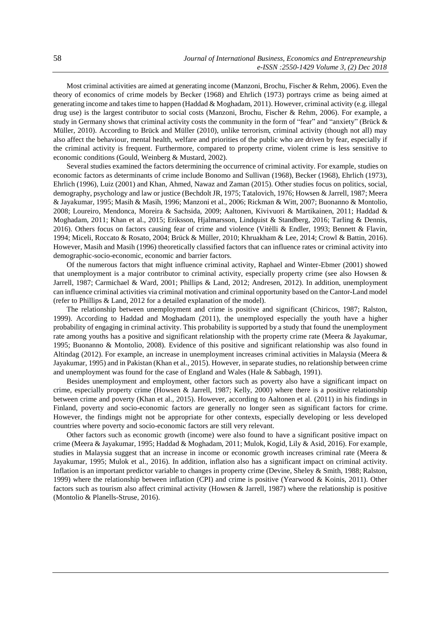Most criminal activities are aimed at generating income (Manzoni, Brochu, Fischer & Rehm, 2006). Even the theory of economics of crime models by Becker (1968) and Ehrlich (1973) portrays crime as being aimed at generating income and takes time to happen (Haddad & Moghadam, 2011). However, criminal activity (e.g. illegal drug use) is the largest contributor to social costs (Manzoni, Brochu, Fischer & Rehm, 2006). For example, a study in Germany shows that criminal activity costs the community in the form of "fear" and "anxiety" (Brück & Müller, 2010). According to Brück and Müller (2010), unlike terrorism, criminal activity (though not all) may also affect the behaviour, mental health, welfare and priorities of the public who are driven by fear, especially if the criminal activity is frequent. Furthermore, compared to property crime, violent crime is less sensitive to economic conditions (Gould, Weinberg & Mustard, 2002).

Several studies examined the factors determining the occurrence of criminal activity. For example, studies on economic factors as determinants of crime include Bonomo and Sullivan (1968), Becker (1968), Ehrlich (1973), Ehrlich (1996), Luiz (2001) and Khan, Ahmed, Nawaz and Zaman (2015). Other studies focus on politics, social, demography, psychology and law or justice (Bechdolt JR, 1975; Tatalovich, 1976; Howsen & Jarrell, 1987; Meera & Jayakumar, 1995; Masih & Masih, 1996; Manzoni et al., 2006; Rickman & Witt, 2007; Buonanno & Montolio, 2008; Loureiro, Mendonca, Moreira & Sachsida, 2009; Aaltonen, Kivivuori & Martikainen, 2011; Haddad & Moghadam, 2011; Khan et al., 2015; Eriksson, Hjalmarsson, Lindquist & Standberg, 2016; Tarling & Dennis, 2016). Others focus on factors causing fear of crime and violence (Vitèlli & Endler, 1993; Bennett & Flavin, 1994; Miceli, Roccato & Rosato, 2004; Brück & Müller, 2010; Khruakham & Lee, 2014; Crowl & Battin, 2016). However, Masih and Masih (1996) theoretically classified factors that can influence rates or criminal activity into demographic-socio-economic, economic and barrier factors.

Of the numerous factors that might influence criminal activity, Raphael and Winter-Ebmer (2001) showed that unemployment is a major contributor to criminal activity, especially property crime (see also Howsen & Jarrell, 1987; Carmichael & Ward, 2001; Phillips & Land, 2012; Andresen, 2012). In addition, unemployment can influence criminal activities via criminal motivation and criminal opportunity based on the Cantor-Land model (refer to Phillips & Land, 2012 for a detailed explanation of the model).

The relationship between unemployment and crime is positive and significant (Chiricos, 1987; Ralston, 1999). According to Haddad and Moghadam (2011), the unemployed especially the youth have a higher probability of engaging in criminal activity. This probability is supported by a study that found the unemployment rate among youths has a positive and significant relationship with the property crime rate (Meera & Jayakumar, 1995; Buonanno & Montolio, 2008). Evidence of this positive and significant relationship was also found in Altindag (2012). For example, an increase in unemployment increases criminal activities in Malaysia (Meera & Jayakumar, 1995) and in Pakistan (Khan et al., 2015). However, in separate studies, no relationship between crime and unemployment was found for the case of England and Wales (Hale & Sabbagh, 1991).

Besides unemployment and employment, other factors such as poverty also have a significant impact on crime, especially property crime (Howsen & Jarrell, 1987; Kelly, 2000) where there is a positive relationship between crime and poverty (Khan et al., 2015). However, according to Aaltonen et al. (2011) in his findings in Finland, poverty and socio-economic factors are generally no longer seen as significant factors for crime. However, the findings might not be appropriate for other contexts, especially developing or less developed countries where poverty and socio-economic factors are still very relevant.

Other factors such as economic growth (income) were also found to have a significant positive impact on crime (Meera & Jayakumar, 1995; Haddad & Moghadam, 2011; Mulok, Kogid, Lily & Asid, 2016). For example, studies in Malaysia suggest that an increase in income or economic growth increases criminal rate (Meera & Jayakumar, 1995; Mulok et al., 2016). In addition, inflation also has a significant impact on criminal activity. Inflation is an important predictor variable to changes in property crime (Devine, Sheley & Smith, 1988; Ralston, 1999) where the relationship between inflation (CPI) and crime is positive (Yearwood & Koinis, 2011). Other factors such as tourism also affect criminal activity (Howsen & Jarrell, 1987) where the relationship is positive (Montolio & Planells-Struse, 2016).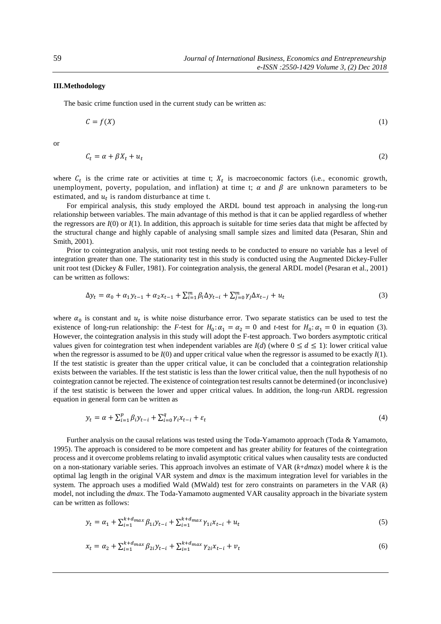## **III.Methodology**

The basic crime function used in the current study can be written as:

$$
C = f(X) \tag{1}
$$

or

$$
C_t = \alpha + \beta X_t + u_t \tag{2}
$$

where  $C_t$  is the crime rate or activities at time t;  $X_t$  is macroeconomic factors (i.e., economic growth, unemployment, poverty, population, and inflation) at time t;  $\alpha$  and  $\beta$  are unknown parameters to be estimated, and  $u_t$  is random disturbance at time t.

For empirical analysis, this study employed the ARDL bound test approach in analysing the long-run relationship between variables. The main advantage of this method is that it can be applied regardless of whether the regressors are  $I(0)$  or  $I(1)$ . In addition, this approach is suitable for time series data that might be affected by the structural change and highly capable of analysing small sample sizes and limited data (Pesaran, Shin and Smith, 2001).

Prior to cointegration analysis, unit root testing needs to be conducted to ensure no variable has a level of integration greater than one. The stationarity test in this study is conducted using the Augmented Dickey-Fuller unit root test (Dickey & Fuller, 1981). For cointegration analysis, the general ARDL model (Pesaran et al., 2001) can be written as follows:

$$
\Delta y_t = \alpha_0 + \alpha_1 y_{t-1} + \alpha_2 x_{t-1} + \sum_{i=1}^m \beta_i \Delta y_{t-i} + \sum_{j=0}^m \gamma_j \Delta x_{t-j} + u_t
$$
\n(3)

where  $\alpha_0$  is constant and  $u_t$  is white noise disturbance error. Two separate statistics can be used to test the existence of long-run relationship: the *F*-test for  $H_0: \alpha_1 = \alpha_2 = 0$  and *t*-test for  $H_0: \alpha_1 = 0$  in equation (3). However, the cointegration analysis in this study will adopt the F-test approach. Two borders asymptotic critical values given for cointegration test when independent variables are  $I(d)$  (where  $0 \leq d \leq 1$ ): lower critical value when the regressor is assumed to be  $I(0)$  and upper critical value when the regressor is assumed to be exactly  $I(1)$ . If the test statistic is greater than the upper critical value, it can be concluded that a cointegration relationship exists between the variables. If the test statistic is less than the lower critical value, then the null hypothesis of no cointegration cannot be rejected. The existence of cointegration test results cannot be determined (or inconclusive) if the test statistic is between the lower and upper critical values. In addition, the long-run ARDL regression equation in general form can be written as

$$
y_t = \alpha + \sum_{i=1}^p \beta_i y_{t-i} + \sum_{i=0}^q \gamma_i x_{t-i} + \varepsilon_t
$$
\n<sup>(4)</sup>

Further analysis on the causal relations was tested using the Toda-Yamamoto approach (Toda & Yamamoto, 1995). The approach is considered to be more competent and has greater ability for features of the cointegration process and it overcome problems relating to invalid asymptotic critical values when causality tests are conducted on a non-stationary variable series. This approach involves an estimate of VAR (*k*+*dmax*) model where *k* is the optimal lag length in the original VAR system and *dmax* is the maximum integration level for variables in the system. The approach uses a modified Wald (MWald) test for zero constraints on parameters in the VAR (*k*) model, not including the *dmax*. The Toda-Yamamoto augmented VAR causality approach in the bivariate system can be written as follows:

$$
y_t = \alpha_1 + \sum_{i=1}^{k+d_{max}} \beta_{1i} y_{t-i} + \sum_{i=1}^{k+d_{max}} \gamma_{1i} x_{t-i} + u_t
$$
\n(5)

$$
x_{t} = \alpha_{2} + \sum_{i=1}^{k+d} \beta_{2i} y_{t-i} + \sum_{i=1}^{k+d} \gamma_{2i} x_{t-i} + v_{t}
$$
(6)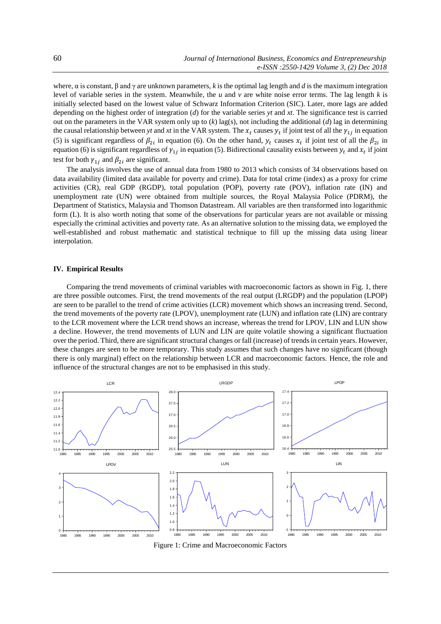where, α is constant, β and γ are unknown parameters, *k* is the optimal lag length and *d* is the maximum integration level of variable series in the system. Meanwhile, the *u* and *v* are white noise error terms. The lag length *k* is initially selected based on the lowest value of Schwarz Information Criterion (SIC). Later, more lags are added depending on the highest order of integration (*d*) for the variable series *yt* and *xt*. The significance test is carried out on the parameters in the VAR system only up to  $(k)$  lag(s), not including the additional  $(d)$  lag in determining the causal relationship between *yt* and *xt* in the VAR system. The  $x_t$  causes  $y_t$  if joint test of all the  $\gamma_{1j}$  in equation (5) is significant regardless of  $\beta_{2i}$  in equation (6). On the other hand,  $y_t$  causes  $x_t$  if joint test of all the  $\beta_{2i}$  in equation (6) is significant regardless of  $\gamma_{1j}$  in equation (5). Bidirectional causality exists between  $y_t$  and  $x_t$  if joint test for both  $\gamma_{1i}$  and  $\beta_{2i}$  are significant.

The analysis involves the use of annual data from 1980 to 2013 which consists of 34 observations based on data availability (limited data available for poverty and crime). Data for total crime (index) as a proxy for crime activities (CR), real GDP (RGDP), total population (POP), poverty rate (POV), inflation rate (IN) and unemployment rate (UN) were obtained from multiple sources, the Royal Malaysia Police (PDRM), the Department of Statistics, Malaysia and Thomson Datastream. All variables are then transformed into logarithmic form (L). It is also worth noting that some of the observations for particular years are not available or missing especially the criminal activities and poverty rate. As an alternative solution to the missing data, we employed the well-established and robust mathematic and statistical technique to fill up the missing data using linear interpolation.

#### **IV. Empirical Results**

Comparing the trend movements of criminal variables with macroeconomic factors as shown in Fig. 1, there are three possible outcomes. First, the trend movements of the real output (LRGDP) and the population (LPOP) are seen to be parallel to the trend of crime activities (LCR) movement which shows an increasing trend. Second, the trend movements of the poverty rate (LPOV), unemployment rate (LUN) and inflation rate (LIN) are contrary to the LCR movement where the LCR trend shows an increase, whereas the trend for LPOV, LIN and LUN show a decline. However, the trend movements of LUN and LIN are quite volatile showing a significant fluctuation over the period. Third, there are significant structural changes or fall (increase) of trends in certain years. However, these changes are seen to be more temporary. This study assumes that such changes have no significant (though there is only marginal) effect on the relationship between LCR and macroeconomic factors. Hence, the role and influence of the structural changes are not to be emphasised in this study.



Figure 1: Crime and Macroeconomic Factors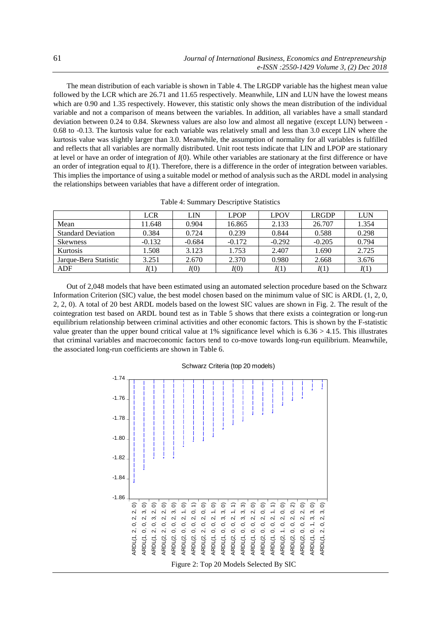The mean distribution of each variable is shown in Table 4. The LRGDP variable has the highest mean value followed by the LCR which are 26.71 and 11.65 respectively. Meanwhile, LIN and LUN have the lowest means which are 0.90 and 1.35 respectively. However, this statistic only shows the mean distribution of the individual variable and not a comparison of means between the variables. In addition, all variables have a small standard deviation between 0.24 to 0.84. Skewness values are also low and almost all negative (except LUN) between - 0.68 to -0.13. The kurtosis value for each variable was relatively small and less than 3.0 except LIN where the kurtosis value was slightly larger than 3.0. Meanwhile, the assumption of normality for all variables is fulfilled and reflects that all variables are normally distributed. Unit root tests indicate that LIN and LPOP are stationary at level or have an order of integration of *I*(0). While other variables are stationary at the first difference or have an order of integration equal to *I*(1). Therefore, there is a difference in the order of integration between variables. This implies the importance of using a suitable model or method of analysis such as the ARDL model in analysing the relationships between variables that have a different order of integration.

|                           | <b>LCR</b> | LIN      | <b>LPOP</b> | <b>LPOV</b> | <b>LRGDP</b> | LUN   |
|---------------------------|------------|----------|-------------|-------------|--------------|-------|
| Mean                      | 11.648     | 0.904    | 16.865      | 2.133       | 26.707       | 1.354 |
| <b>Standard Deviation</b> | 0.384      | 0.724    | 0.239       | 0.844       | 0.588        | 0.298 |
| Skewness                  | $-0.132$   | $-0.684$ | $-0.172$    | $-0.292$    | $-0.205$     | 0.794 |
| Kurtosis                  | 1.508      | 3.123    | 1.753       | 2.407       | 1.690        | 2.725 |
| Jarque-Bera Statistic     | 3.251      | 2.670    | 2.370       | 0.980       | 2.668        | 3.676 |
| ADF                       | I(1)       | I(0)     | I(0)        | I(1)        | I(1)         | I(1)  |

Table 4: Summary Descriptive Statistics

Out of 2,048 models that have been estimated using an automated selection procedure based on the Schwarz Information Criterion (SIC) value, the best model chosen based on the minimum value of SIC is ARDL (1, 2, 0, 2, 2, 0). A total of 20 best ARDL models based on the lowest SIC values are shown in Fig. 2. The result of the cointegration test based on ARDL bound test as in Table 5 shows that there exists a cointegration or long-run equilibrium relationship between criminal activities and other economic factors. This is shown by the F-statistic value greater than the upper bound critical value at 1% significance level which is  $6.36 > 4.15$ . This illustrates that criminal variables and macroeconomic factors tend to co-move towards long-run equilibrium. Meanwhile, the associated long-run coefficients are shown in Table 6.

#### Schwarz Criteria (top 20 models)

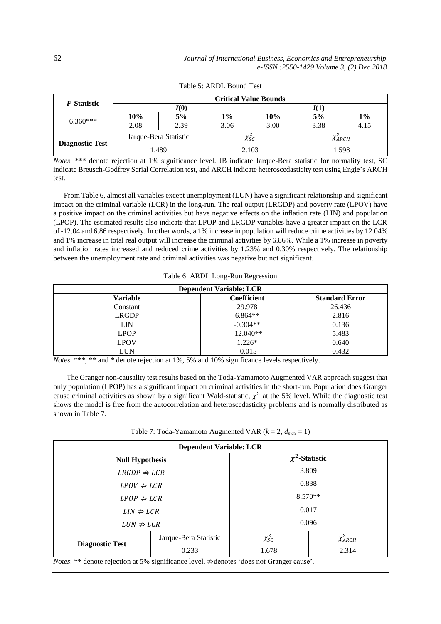| <i>F</i> -Statistic    | <b>Critical Value Bounds</b> |       |       |                                   |                 |       |
|------------------------|------------------------------|-------|-------|-----------------------------------|-----------------|-------|
|                        |                              | I(0)  |       |                                   | I(1)            |       |
| $6.360***$             | 10%                          | 5%    | $1\%$ | 10%                               | 5%              | 1%    |
|                        | 2.08                         | 2.39  | 3.06  | 3.00                              | 3.38            | 4.15  |
| <b>Diagnostic Test</b> | Jarque-Bera Statistic        |       |       | $\chi_{\mathit{SC}}^{\mathit{z}}$ | $\chi^2_{ARCH}$ |       |
|                        |                              | 1.489 |       | 2.103                             |                 | 1.598 |

Table 5: ARDL Bound Test

*Notes*: \*\*\* denote rejection at 1% significance level. JB indicate Jarque-Bera statistic for normality test, SC indicate Breusch-Godfrey Serial Correlation test, and ARCH indicate heteroscedasticity test using Engle's ARCH test.

From Table 6, almost all variables except unemployment (LUN) have a significant relationship and significant impact on the criminal variable (LCR) in the long-run. The real output (LRGDP) and poverty rate (LPOV) have a positive impact on the criminal activities but have negative effects on the inflation rate (LIN) and population (LPOP). The estimated results also indicate that LPOP and LRGDP variables have a greater impact on the LCR of -12.04 and 6.86 respectively. In other words, a 1% increase in population will reduce crime activities by 12.04% and 1% increase in total real output will increase the criminal activities by 6.86%. While a 1% increase in poverty and inflation rates increased and reduced crime activities by 1.23% and 0.30% respectively. The relationship between the unemployment rate and criminal activities was negative but not significant.

Table 6: ARDL Long-Run Regression

| <b>Dependent Variable: LCR</b> |             |                       |  |  |  |
|--------------------------------|-------------|-----------------------|--|--|--|
| <b>Variable</b>                | Coefficient | <b>Standard Error</b> |  |  |  |
| Constant                       | 29.978      | 26.436                |  |  |  |
| <b>LRGDP</b>                   | $6.864**$   | 2.816                 |  |  |  |
| LIN                            | $-0.304**$  | 0.136                 |  |  |  |
| <b>LPOP</b>                    | $-12.040**$ | 5.483                 |  |  |  |
| <b>LPOV</b>                    | $1.226*$    | 0.640                 |  |  |  |
| LUN                            | $-0.015$    | 0.432                 |  |  |  |

*Notes*: \*\*\*, \*\* and \* denote rejection at 1%, 5% and 10% significance levels respectively.

The Granger non-causality test results based on the Toda-Yamamoto Augmented VAR approach suggest that only population (LPOP) has a significant impact on criminal activities in the short-run. Population does Granger cause criminal activities as shown by a significant Wald-statistic,  $\chi^2$  at the 5% level. While the diagnostic test shows the model is free from the autocorrelation and heteroscedasticity problems and is normally distributed as shown in Table 7.

Table 7: Toda-Yamamoto Augmented VAR (*k* = 2, *dmax* = 1)

| <b>Dependent Variable: LCR</b> |                       |                     |                 |  |  |
|--------------------------------|-----------------------|---------------------|-----------------|--|--|
| <b>Null Hypothesis</b>         |                       | $\chi^2$ -Statistic |                 |  |  |
| $LRGDP \nRightarrow LCR$       |                       | 3.809               |                 |  |  |
| $LPOV \nRightarrow LCR$        |                       | 0.838               |                 |  |  |
| $LPOP \nRightarrow LCR$        |                       | $8.570**$           |                 |  |  |
| $LIN \nRightarrow LCR$         |                       | 0.017               |                 |  |  |
| $LUN \nRightarrow LCR$         |                       | 0.096               |                 |  |  |
|                                | Jarque-Bera Statistic | $\chi^2_{SC}$       | $\chi^2_{ARCH}$ |  |  |
| <b>Diagnostic Test</b>         | 0.233                 | 1.678               | 2.314           |  |  |

*Notes*: \*\* denote rejection at 5% significance level. ∌denotes 'does not Granger cause'.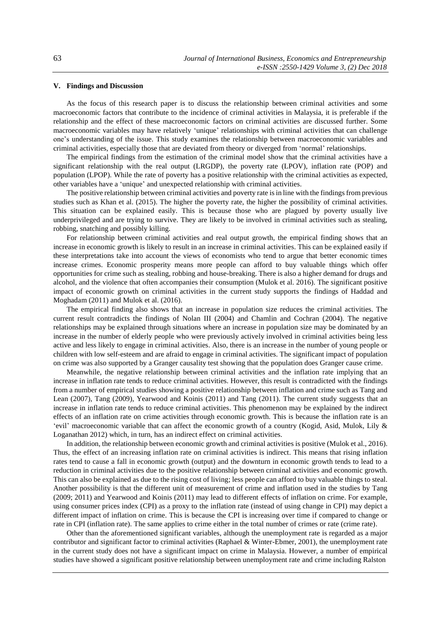## **V. Findings and Discussion**

As the focus of this research paper is to discuss the relationship between criminal activities and some macroeconomic factors that contribute to the incidence of criminal activities in Malaysia, it is preferable if the relationship and the effect of these macroeconomic factors on criminal activities are discussed further. Some macroeconomic variables may have relatively 'unique' relationships with criminal activities that can challenge one's understanding of the issue. This study examines the relationship between macroeconomic variables and criminal activities, especially those that are deviated from theory or diverged from 'normal' relationships.

The empirical findings from the estimation of the criminal model show that the criminal activities have a significant relationship with the real output (LRGDP), the poverty rate (LPOV), inflation rate (POP) and population (LPOP). While the rate of poverty has a positive relationship with the criminal activities as expected, other variables have a 'unique' and unexpected relationship with criminal activities.

The positive relationship between criminal activities and poverty rate is in line with the findings from previous studies such as Khan et al. (2015). The higher the poverty rate, the higher the possibility of criminal activities. This situation can be explained easily. This is because those who are plagued by poverty usually live underprivileged and are trying to survive. They are likely to be involved in criminal activities such as stealing, robbing, snatching and possibly killing.

For relationship between criminal activities and real output growth, the empirical finding shows that an increase in economic growth is likely to result in an increase in criminal activities. This can be explained easily if these interpretations take into account the views of economists who tend to argue that better economic times increase crimes. Economic prosperity means more people can afford to buy valuable things which offer opportunities for crime such as stealing, robbing and house-breaking. There is also a higher demand for drugs and alcohol, and the violence that often accompanies their consumption (Mulok et al. 2016). The significant positive impact of economic growth on criminal activities in the current study supports the findings of Haddad and Moghadam (2011) and Mulok et al. (2016).

The empirical finding also shows that an increase in population size reduces the criminal activities. The current result contradicts the findings of Nolan III (2004) and Chamlin and Cochran (2004). The negative relationships may be explained through situations where an increase in population size may be dominated by an increase in the number of elderly people who were previously actively involved in criminal activities being less active and less likely to engage in criminal activities. Also, there is an increase in the number of young people or children with low self-esteem and are afraid to engage in criminal activities. The significant impact of population on crime was also supported by a Granger causality test showing that the population does Granger cause crime.

Meanwhile, the negative relationship between criminal activities and the inflation rate implying that an increase in inflation rate tends to reduce criminal activities. However, this result is contradicted with the findings from a number of empirical studies showing a positive relationship between inflation and crime such as Tang and Lean (2007), Tang (2009), Yearwood and Koinis (2011) and Tang (2011). The current study suggests that an increase in inflation rate tends to reduce criminal activities. This phenomenon may be explained by the indirect effects of an inflation rate on crime activities through economic growth. This is because the inflation rate is an 'evil' macroeconomic variable that can affect the economic growth of a country (Kogid, Asid, Mulok, Lily & Loganathan 2012) which, in turn, has an indirect effect on criminal activities.

In addition, the relationship between economic growth and criminal activities is positive (Mulok et al., 2016). Thus, the effect of an increasing inflation rate on criminal activities is indirect. This means that rising inflation rates tend to cause a fall in economic growth (output) and the downturn in economic growth tends to lead to a reduction in criminal activities due to the positive relationship between criminal activities and economic growth. This can also be explained as due to the rising cost of living; less people can afford to buy valuable things to steal. Another possibility is that the different unit of measurement of crime and inflation used in the studies by Tang (2009; 2011) and Yearwood and Koinis (2011) may lead to different effects of inflation on crime. For example, using consumer prices index (CPI) as a proxy to the inflation rate (instead of using change in CPI) may depict a different impact of inflation on crime. This is because the CPI is increasing over time if compared to change or rate in CPI (inflation rate). The same applies to crime either in the total number of crimes or rate (crime rate).

Other than the aforementioned significant variables, although the unemployment rate is regarded as a major contributor and significant factor to criminal activities (Raphael & Winter-Ebmer, 2001), the unemployment rate in the current study does not have a significant impact on crime in Malaysia. However, a number of empirical studies have showed a significant positive relationship between unemployment rate and crime including Ralston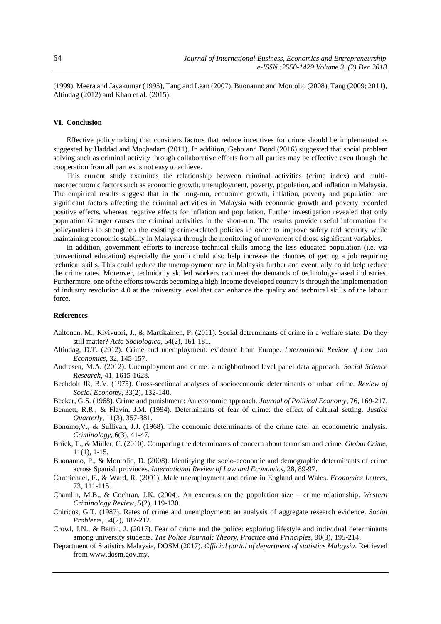(1999), Meera and Jayakumar (1995), Tang and Lean (2007), Buonanno and Montolio (2008), Tang (2009; 2011), Altindag (2012) and Khan et al. (2015).

### **VI. Conclusion**

Effective policymaking that considers factors that reduce incentives for crime should be implemented as suggested by Haddad and Moghadam (2011). In addition, Gebo and Bond (2016) suggested that social problem solving such as criminal activity through collaborative efforts from all parties may be effective even though the cooperation from all parties is not easy to achieve.

This current study examines the relationship between criminal activities (crime index) and multimacroeconomic factors such as economic growth, unemployment, poverty, population, and inflation in Malaysia. The empirical results suggest that in the long-run, economic growth, inflation, poverty and population are significant factors affecting the criminal activities in Malaysia with economic growth and poverty recorded positive effects, whereas negative effects for inflation and population. Further investigation revealed that only population Granger causes the criminal activities in the short-run. The results provide useful information for policymakers to strengthen the existing crime-related policies in order to improve safety and security while maintaining economic stability in Malaysia through the monitoring of movement of those significant variables.

In addition, government efforts to increase technical skills among the less educated population (i.e. via conventional education) especially the youth could also help increase the chances of getting a job requiring technical skills. This could reduce the unemployment rate in Malaysia further and eventually could help reduce the crime rates. Moreover, technically skilled workers can meet the demands of technology-based industries. Furthermore, one of the efforts towards becoming a high-income developed country is through the implementation of industry revolution 4.0 at the university level that can enhance the quality and technical skills of the labour force.

#### **References**

- Aaltonen, M., Kivivuori, J., & Martikainen, P. (2011). Social determinants of crime in a welfare state: Do they still matter? *Acta Sociologica*, 54(2), 161-181.
- Altindag, D.T. (2012). Crime and unemployment: evidence from Europe. *International Review of Law and Economics*, 32, 145-157.
- Andresen, M.A. (2012). Unemployment and crime: a neighborhood level panel data approach. *Social Science Research*, 41, 1615-1628.
- Bechdolt JR, B.V. (1975). Cross-sectional analyses of socioeconomic determinants of urban crime. *Review of Social Economy*, 33(2), 132-140.

Becker, G.S. (1968). Crime and punishment: An economic approach. *Journal of Political Economy*, 76, 169-217.

- Bennett, R.R., & Flavin, J.M. (1994). Determinants of fear of crime: the effect of cultural setting. *Justice Quarterly*, 11(3), 357-381.
- Bonomo,V., & Sullivan, J.J. (1968). The economic determinants of the crime rate: an econometric analysis. *Criminology*, 6(3), 41-47.
- Brück, T., & Müller, C. (2010). Comparing the determinants of concern about terrorism and crime. *Global Crime*, 11(1), 1-15.
- Buonanno, P., & Montolio, D. (2008). Identifying the socio-economic and demographic determinants of crime across Spanish provinces. *International Review of Law and Economics*, 28, 89-97.
- Carmichael, F., & Ward, R. (2001). Male unemployment and crime in England and Wales. *Economics Letters*, 73, 111-115.
- Chamlin, M.B., & Cochran, J.K. (2004). An excursus on the population size crime relationship. *Western Criminology Review*, 5(2), 119-130.
- Chiricos, G.T. (1987). Rates of crime and unemployment: an analysis of aggregate research evidence. *Social Problems*, 34(2), 187-212.
- Crowl, J.N., & Battin, J. (2017). Fear of crime and the police: exploring lifestyle and individual determinants among university students. *The Police Journal: Theory, Practice and Principles*, 90(3), 195-214.
- Department of Statistics Malaysia, DOSM (2017). *Official portal of department of statistics Malaysia*. Retrieved from www.dosm.gov.my.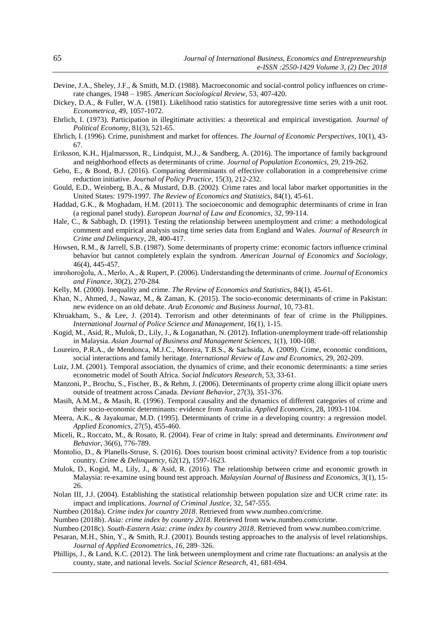- Devine, J.A., Sheley, J.F., & Smith, M.D. (1988). Macroeconomic and social-control policy influences on crimerate changes, 1948 – 1985. *American Sociological Review*, 53, 407-420.
- Dickey, D.A., & Fuller, W.A. (1981). Likelihood ratio statistics for autoregressive time series with a unit root. *Econometrica*, 49, 1057-1072.
- Ehrlich, I. (1973). Participation in illegitimate activities: a theoretical and empirical investigation. *Journal of Political Economy*, 81(3), 521-65.
- Ehrlich, I. (1996). Crime, punishment and market for offences. *The Journal of Economic Perspectives*, 10(1), 43- 67.
- Eriksson, K.H., Hjalmarsson, R., Lindquist, M.J., & Sandberg, A. (2016). The importance of family background and neighborhood effects as determinants of crime. *Journal of Population Economics*, 29, 219-262.
- Gebo, E., & Bond, B.J. (2016). Comparing determinants of effective collaboration in a comprehensive crime reduction initiative. *Journal of Policy Practice*, 15(3), 212-232.
- Gould, E.D., Weinberg, B.A., & Mustard, D.B. (2002). Crime rates and local labor market opportunities in the United States: 1979-1997. *The Review of Economics and Statistics*, 84(1), 45-61.
- Haddad, G.K., & Moghadam, H.M. (2011). The socioeconomic and demographic determinants of crime in Iran (a regional panel study). *European Journal of Law and Economics*, 32, 99-114.
- Hale, C., & Sabbagh, D. (1991). Testing the relationship between unemployment and crime: a methodological comment and empirical analysis using time series data from England and Wales. *Journal of Research in Crime and Delinquency*, 28, 400-417.
- Howsen, R.M., & Jarrell, S.B. (1987). Some determinants of property crime: economic factors influence criminal behavior but cannot completely explain the syndrom. *American Journal of Economics and Sociology*, 46(4), 445-457.
- imrohoroĝolu, A., Merlo, A., & Rupert, P. (2006). Understanding the determinants of crime. *Journal of Economics and Finance*, 30(2), 270-284.
- Kelly, M. (2000). Inequality and crime. *The Review of Economics and Statistics*, 84(1), 45-61.
- Khan, N., Ahmed, J., Nawaz, M., & Zaman, K. (2015). The socio-economic determinants of crime in Pakistan: new evidence on an old debate. *Arab Economic and Business Journal*, 10, 73-81.
- Khruakham, S., & Lee, J. (2014). Terrorism and other determinants of fear of crime in the Philippines. *International Journal of Police Science and Management*, 16(1), 1-15.
- Kogid, M., Asid, R., Mulok, D., Lily, J., & Loganathan, N. (2012). Inflation-unemployment trade-off relationship in Malaysia. *Asian Journal of Business and Management Sciences*, 1(1), 100-108.
- Loureiro, P.R.A., de Mendonca, M.J.C., Moreira, T.B.S., & Sachsida, A. (2009). Crime, economic conditions, social interactions and family heritage. *International Review of Law and Economics*, 29, 202-209.
- Luiz, J.M. (2001). Temporal association, the dynamics of crime, and their economic determinants: a time series econometric model of South Africa. *Social Indicators Research*, 53, 33-61.
- Manzoni, P., Brochu, S., Fischer, B., & Rehm, J. (2006). Determinants of property crime along illicit opiate users outside of treatment across Canada. *Deviant Behavior*, 27(3), 351-376.
- Masih, A.M.M., & Masih, R. (1996). Temporal causality and the dynamics of different categories of crime and their socio-economic determinants: evidence from Australia. *Applied Economics*, 28, 1093-1104.
- Meera, A.K., & Jayakumar, M.D. (1995). Determinants of crime in a developing country: a regression model. *Applied Economics*, 27(5), 455-460.
- Miceli, R., Roccato, M., & Rosato, R. (2004). Fear of crime in Italy: spread and determinants. *Environment and Behavior*, 36(6), 776-789.
- Montolio, D., & Planells-Struse, S. (2016). Does tourism boost criminal activity? Evidence from a top touristic country. *Crime & Delinquency*, 62(12), 1597-1623.
- Mulok, D., Kogid, M., Lily, J., & Asid, R. (2016). The relationship between crime and economic growth in Malaysia: re-examine using bound test approach. *Malaysian Journal of Business and Economics*, 3(1), 15- 26.
- Nolan III, J.J. (2004). Establishing the statistical relationship between population size and UCR crime rate: its impact and implications. *Journal of Criminal Justice*, 32, 547-555.
- Numbeo (2018a). *Crime index for country 2018*. Retrieved from www.numbeo.com/crime.
- Numbeo (2018b). *Asia: crime index by country 2018*. Retrieved from www.numbeo.com/crime.
- Numbeo (2018c). *South-Eastern Asia: crime index by country 2018*. Retrieved from www.numbeo.com/crime.
- Pesaran, M.H., Shin, Y., & Smith, R.J. (2001). Bounds testing approaches to the analysis of level relationships. *Journal of Applied Econometrics*, *16*, 289–326.
- Phillips, J., & Land, K.C. (2012). The link between unemployment and crime rate fluctuations: an analysis at the county, state, and national levels. *Social Science Research*, 41, 681-694.